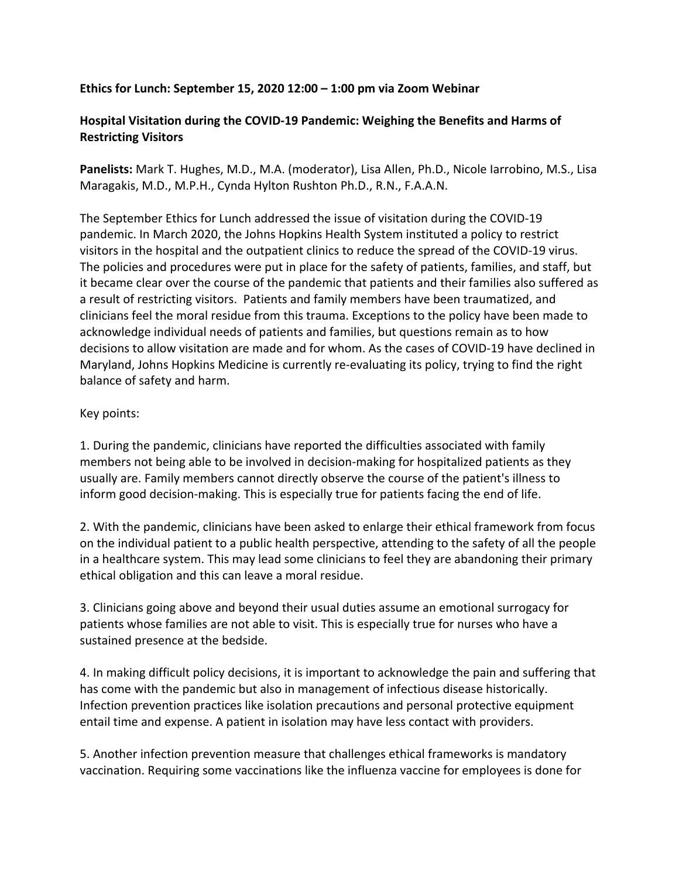## **Ethics for Lunch: September 15, 2020 12:00 – 1:00 pm via Zoom Webinar**

## **Hospital Visitation during the COVID-19 Pandemic: Weighing the Benefits and Harms of Restricting Visitors**

**Panelists:** Mark T. Hughes, M.D., M.A. (moderator), Lisa Allen, Ph.D., Nicole Iarrobino, M.S., Lisa Maragakis, M.D., M.P.H., Cynda Hylton Rushton Ph.D., R.N., F.A.A.N.

The September Ethics for Lunch addressed the issue of visitation during the COVID-19 pandemic. In March 2020, the Johns Hopkins Health System instituted a policy to restrict visitors in the hospital and the outpatient clinics to reduce the spread of the COVID-19 virus. The policies and procedures were put in place for the safety of patients, families, and staff, but it became clear over the course of the pandemic that patients and their families also suffered as a result of restricting visitors. Patients and family members have been traumatized, and clinicians feel the moral residue from this trauma. Exceptions to the policy have been made to acknowledge individual needs of patients and families, but questions remain as to how decisions to allow visitation are made and for whom. As the cases of COVID-19 have declined in Maryland, Johns Hopkins Medicine is currently re-evaluating its policy, trying to find the right balance of safety and harm.

## Key points:

1. During the pandemic, clinicians have reported the difficulties associated with family members not being able to be involved in decision-making for hospitalized patients as they usually are. Family members cannot directly observe the course of the patient's illness to inform good decision-making. This is especially true for patients facing the end of life.

2. With the pandemic, clinicians have been asked to enlarge their ethical framework from focus on the individual patient to a public health perspective, attending to the safety of all the people in a healthcare system. This may lead some clinicians to feel they are abandoning their primary ethical obligation and this can leave a moral residue.

3. Clinicians going above and beyond their usual duties assume an emotional surrogacy for patients whose families are not able to visit. This is especially true for nurses who have a sustained presence at the bedside.

4. In making difficult policy decisions, it is important to acknowledge the pain and suffering that has come with the pandemic but also in management of infectious disease historically. Infection prevention practices like isolation precautions and personal protective equipment entail time and expense. A patient in isolation may have less contact with providers.

5. Another infection prevention measure that challenges ethical frameworks is mandatory vaccination. Requiring some vaccinations like the influenza vaccine for employees is done for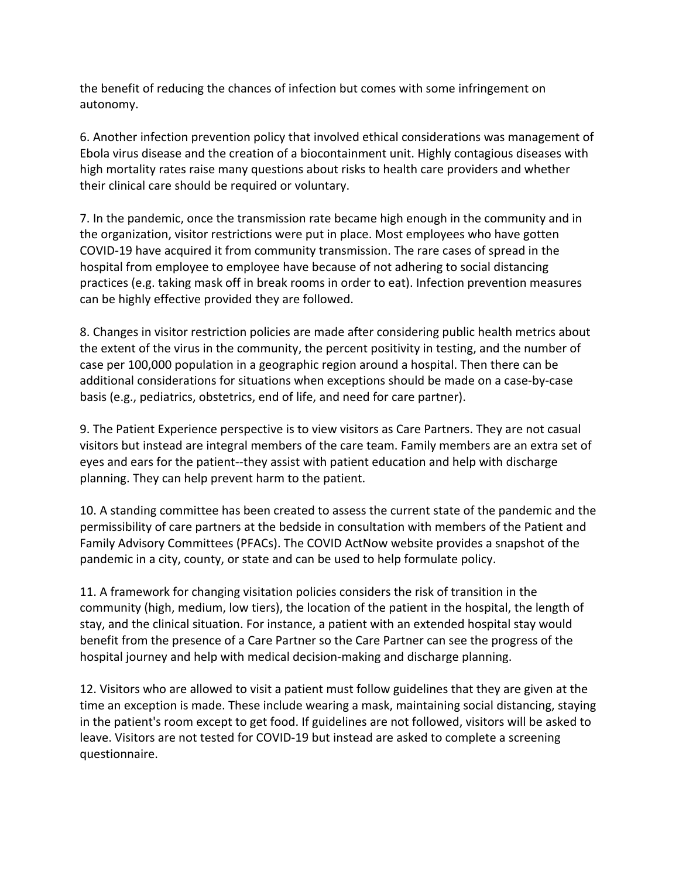the benefit of reducing the chances of infection but comes with some infringement on autonomy.

6. Another infection prevention policy that involved ethical considerations was management of Ebola virus disease and the creation of a biocontainment unit. Highly contagious diseases with high mortality rates raise many questions about risks to health care providers and whether their clinical care should be required or voluntary.

7. In the pandemic, once the transmission rate became high enough in the community and in the organization, visitor restrictions were put in place. Most employees who have gotten COVID-19 have acquired it from community transmission. The rare cases of spread in the hospital from employee to employee have because of not adhering to social distancing practices (e.g. taking mask off in break rooms in order to eat). Infection prevention measures can be highly effective provided they are followed.

8. Changes in visitor restriction policies are made after considering public health metrics about the extent of the virus in the community, the percent positivity in testing, and the number of case per 100,000 population in a geographic region around a hospital. Then there can be additional considerations for situations when exceptions should be made on a case-by-case basis (e.g., pediatrics, obstetrics, end of life, and need for care partner).

9. The Patient Experience perspective is to view visitors as Care Partners. They are not casual visitors but instead are integral members of the care team. Family members are an extra set of eyes and ears for the patient--they assist with patient education and help with discharge planning. They can help prevent harm to the patient.

10. A standing committee has been created to assess the current state of the pandemic and the permissibility of care partners at the bedside in consultation with members of the Patient and Family Advisory Committees (PFACs). The COVID ActNow website provides a snapshot of the pandemic in a city, county, or state and can be used to help formulate policy.

11. A framework for changing visitation policies considers the risk of transition in the community (high, medium, low tiers), the location of the patient in the hospital, the length of stay, and the clinical situation. For instance, a patient with an extended hospital stay would benefit from the presence of a Care Partner so the Care Partner can see the progress of the hospital journey and help with medical decision-making and discharge planning.

12. Visitors who are allowed to visit a patient must follow guidelines that they are given at the time an exception is made. These include wearing a mask, maintaining social distancing, staying in the patient's room except to get food. If guidelines are not followed, visitors will be asked to leave. Visitors are not tested for COVID-19 but instead are asked to complete a screening questionnaire.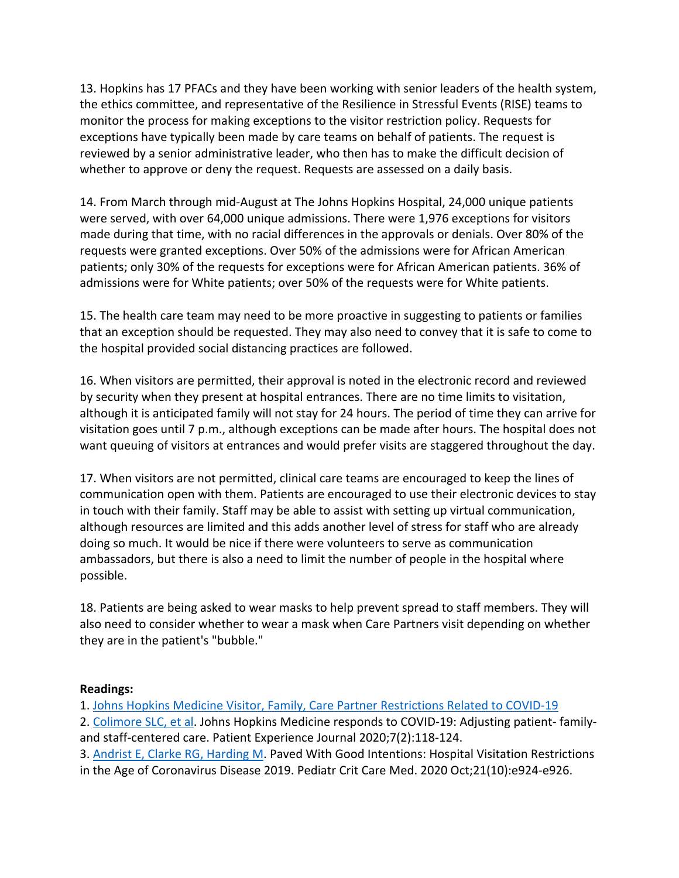13. Hopkins has 17 PFACs and they have been working with senior leaders of the health system, the ethics committee, and representative of the Resilience in Stressful Events (RISE) teams to monitor the process for making exceptions to the visitor restriction policy. Requests for exceptions have typically been made by care teams on behalf of patients. The request is reviewed by a senior administrative leader, who then has to make the difficult decision of whether to approve or deny the request. Requests are assessed on a daily basis.

14. From March through mid-August at The Johns Hopkins Hospital, 24,000 unique patients were served, with over 64,000 unique admissions. There were 1,976 exceptions for visitors made during that time, with no racial differences in the approvals or denials. Over 80% of the requests were granted exceptions. Over 50% of the admissions were for African American patients; only 30% of the requests for exceptions were for African American patients. 36% of admissions were for White patients; over 50% of the requests were for White patients.

15. The health care team may need to be more proactive in suggesting to patients or families that an exception should be requested. They may also need to convey that it is safe to come to the hospital provided social distancing practices are followed.

16. When visitors are permitted, their approval is noted in the electronic record and reviewed by security when they present at hospital entrances. There are no time limits to visitation, although it is anticipated family will not stay for 24 hours. The period of time they can arrive for visitation goes until 7 p.m., although exceptions can be made after hours. The hospital does not want queuing of visitors at entrances and would prefer visits are staggered throughout the day.

17. When visitors are not permitted, clinical care teams are encouraged to keep the lines of communication open with them. Patients are encouraged to use their electronic devices to stay in touch with their family. Staff may be able to assist with setting up virtual communication, although resources are limited and this adds another level of stress for staff who are already doing so much. It would be nice if there were volunteers to serve as communication ambassadors, but there is also a need to limit the number of people in the hospital where possible.

18. Patients are being asked to wear masks to help prevent spread to staff members. They will also need to consider whether to wear a mask when Care Partners visit depending on whether they are in the patient's "bubble."

## **Readings:**

1. Johns Hopkins Medicine Visitor, Family, Care Partner Restrictions Related to COVID-19

2. Colimore SLC, et al. Johns Hopkins Medicine responds to COVID-19: Adjusting patient- familyand staff-centered care. Patient Experience Journal 2020;7(2):118-124.

3. Andrist E, Clarke RG, Harding M. Paved With Good Intentions: Hospital Visitation Restrictions

in the Age of Coronavirus Disease 2019. Pediatr Crit Care Med. 2020 Oct;21(10):e924-e926.